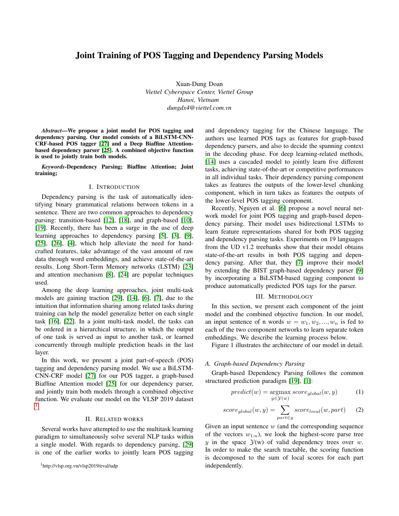# Joint Training of POS Tagging and Dependency Parsing Models

Xuan-Dung Doan *Viettel Cyberspace Center, Viettel Group Hanoi, Vietnam dungdx4@viettel.com.vn*

*Abstract*—We propose a joint model for POS tagging and dependency parsing. Our model consists of a BiLSTM-CNN-CRF-based POS tagger [\[27\]](#page-3-0) and a Deep Biaffine Attentionbased dependency parser [\[25\]](#page-3-1). A combined objective function is used to jointly train both models.

*Keywords*-Dependency Parsing; Biaffine Attention; Joint training;

### I. INTRODUCTION

Dependency parsing is the task of automatically identifying binary grammatical relations between tokens in a sentence. There are two common approaches to dependency parsing: transition-based [\[12\]](#page-3-2), [\[18\]](#page-3-3), and graph-based [\[10\]](#page-3-4), [\[19\]](#page-3-5). Recently, there has been a surge in the use of deep learning approaches to dependency parsing [\[5\]](#page-3-6), [\[3\]](#page-2-0), [\[9\]](#page-3-7), [\[25\]](#page-3-1), [\[26\]](#page-3-8), [\[4\]](#page-3-9), which help alleviate the need for handcrafted features, take advantage of the vast amount of raw data through word embeddings, and achieve state-of-the-art results. Long Short-Term Memory networks (LSTM) [\[23\]](#page-3-10) and attention mechanism [\[8\]](#page-3-11), [\[24\]](#page-3-12) are popular techniques used.

Among the deep learning approaches, joint multi-task models are gaining traction [\[29\]](#page-3-13), [\[14\]](#page-3-14), [\[6\]](#page-3-15), [\[7\]](#page-3-16), due to the intuition that information sharing among related tasks during training can help the model generalize better on each single task [\[16\]](#page-3-17), [\[22\]](#page-3-18). In a joint multi-task model, the tasks can be ordered in a hierarchical structure, in which the output of one task is served as input to another task, or learned concurrently through multiple prediction heads in the last layer.

In this work, we present a joint part-of-speech (POS) tagging and dependency parsing model. We use a BiLSTM-CNN-CRF model [\[27\]](#page-3-0) for our POS tagger, a graph-based Biaffine Attention model [\[25\]](#page-3-1) for our dependency parser, and jointly train both models through a combined objective function. We evaluate our model on the VLSP 2019 dataset [1](#page-0-0) .

# II. RELATED WORKS

Several works have attempted to use the multitask learning paradigm to simultaneously solve several NLP tasks within a single model. With regards to dependency parsing, [\[29\]](#page-3-13) is one of the earlier works to jointly learn POS tagging and dependency tagging for the Chinese language. The authors use learned POS tags as features for graph-based dependency parsers, and also to decide the spanning context in the decoding phase. For deep learning-related methods, [\[14\]](#page-3-14) uses a cascaded model to jointly learn five different tasks, achieving state-of-the-art or competitive performances in all individual tasks. Their dependency parsing component takes as features the outputs of the lower-level chunking component, which in turn takes as features the outputs of the lower-level POS tagging component.

Recently, Nguyen et al. [\[6\]](#page-3-15) propose a novel neural network model for joint POS tagging and graph-based dependency parsing. Their model uses bidirectional LSTMs to learn feature representations shared for both POS tagging and dependency parsing tasks. Experiments on 19 languages from the UD v1.2 treebanks show that their model obtains state-of-the-art results in both POS tagging and dependency parsing. After that, they [\[7\]](#page-3-16) improve their model by extending the BIST graph-based dependency parser [\[9\]](#page-3-7) by incorporating a BiLSTM-based tagging component to produce automatically predicted POS tags for the parser.

# III. METHODOLOGY

In this section, we present each component of the joint model and the combined objective function. In our model, an input sentence of n words  $w = w_1, w_2, ..., w_n$  is fed to each of the two component networks to learn separate token embeddings. We describe the learning process below.

Figure 1 illustrates the architecture of our model in detail.

# *A. Graph-based Dependency Parsing*

Graph-based Dependency Parsing follows the common structured prediction paradigm [\[19\]](#page-3-5), [\[1\]](#page-2-1):

$$
predict(w) = \underset{y \in \mathcal{Y}(w)}{\operatorname{argmax}} score_{global}(w, y) \tag{1}
$$

$$
score_{global}(w, y) = \sum_{part \in y} score_{local}(w, part)
$$
 (2)

Given an input sentence  $w$  (and the corresponding sequence of the vectors  $w_{1:n}$ , we look the highest-score parse tree y in the space  $\mathcal{Y}(w)$  of valid dependency trees over w. In order to make the search tractable, the scoring function is decomposed to the sum of local scores for each part independently.

<span id="page-0-0"></span><sup>1</sup>http://vlsp.org.vn/vlsp2019/eval/udp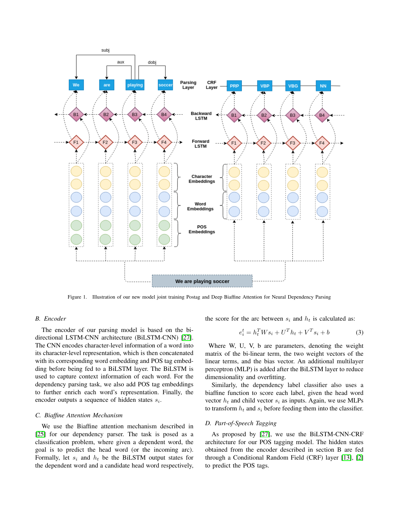

Figure 1. Illustration of our new model joint training Postag and Deep Biaffine Attention for Neural Dependency Parsing

# *B. Encoder*

The encoder of our parsing model is based on the bidirectional LSTM-CNN architecture (BiLSTM-CNN) [\[27\]](#page-3-0). The CNN encodes character-level information of a word into its character-level representation, which is then concatenated with its corresponding word embedding and POS tag embedding before being fed to a BiLSTM layer. The BiLSTM is used to capture context information of each word. For the dependency parsing task, we also add POS tag embeddings to further enrich each word's representation. Finally, the encoder outputs a sequence of hidden states  $s_i$ .

# *C. Biaffine Attention Mechanism*

We use the Biaffine attention mechanism described in [\[25\]](#page-3-1) for our dependency parser. The task is posed as a classification problem, where given a dependent word, the goal is to predict the head word (or the incoming arc). Formally, let  $s_i$  and  $h_t$  be the BiLSTM output states for the dependent word and a candidate head word respectively, the score for the arc between  $s_i$  and  $h_t$  is calculated as:

$$
e_i^t = h_t^T W s_i + U^T h_t + V^T s_i + b \tag{3}
$$

Where W, U, V, b are parameters, denoting the weight matrix of the bi-linear term, the two weight vectors of the linear terms, and the bias vector. An additional multilayer perceptron (MLP) is added after the BiLSTM layer to reduce dimensionality and overfitting.

Similarly, the dependency label classifier also uses a biaffine function to score each label, given the head word vector  $h_t$  and child vector  $s_i$  as inputs. Again, we use MLPs to transform  $h_t$  and  $s_i$  before feeding them into the classifier.

# *D. Part-of-Speech Tagging*

As proposed by [\[27\]](#page-3-0), we use the BiLSTM-CNN-CRF architecture for our POS tagging model. The hidden states obtained from the encoder described in section B are fed through a Conditional Random Field (CRF) layer [\[13\]](#page-3-19), [\[2\]](#page-2-2) to predict the POS tags.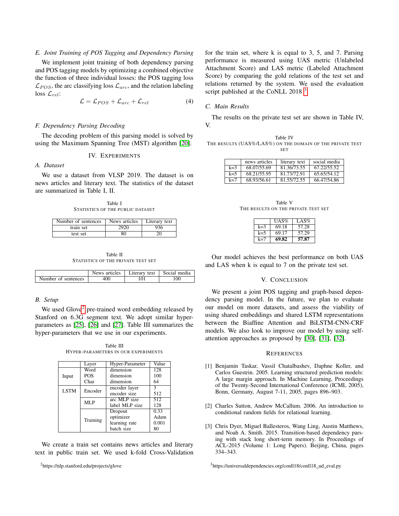# *E. Joint Training of POS Tagging and Dependency Parsing*

We implement joint training of both dependency parsing and POS tagging models by optimizing a combined objective the function of three individual losses: the POS tagging loss  $\mathcal{L}_{POS}$ , the arc classifying loss  $\mathcal{L}_{arc}$ , and the relation labeling loss  $\mathcal{L}_{rel}$ :

$$
\mathcal{L} = \mathcal{L}_{POS} + \mathcal{L}_{arc} + \mathcal{L}_{rel} \tag{4}
$$

# *F. Dependency Parsing Decoding*

The decoding problem of this parsing model is solved by using the Maximum Spanning Tree (MST) algorithm [\[20\]](#page-3-20).

### IV. EXPERIMENTS

# *A. Dataset*

We use a dataset from VLSP 2019. The dataset is on news articles and literary text. The statistics of the dataset are summarized in Table I, II.

Table I STATISTICS OF THE PUBLIC DATASET

| Number of sentences | News articles | Literary text |
|---------------------|---------------|---------------|
| train set           | 2920          | 936           |
| test set            | 30            |               |

Table II STATISTICS OF THE PRIVATE TEST SET

|                     | News articles | Literary text $\vert$ | Social media |
|---------------------|---------------|-----------------------|--------------|
| Number of sentences |               |                       | 100          |

### *B. Setup*

We used Glove<sup>[2](#page-2-3)</sup> pre-trained word embedding released by Stanford on 6.3G segment text. We adopt similar hyperparameters as [\[25\]](#page-3-1), [\[26\]](#page-3-8) and [\[27\]](#page-3-0). Table III summarizes the hyper-parameters that we use in our experiments.

Table III HYPER-PARAMETERS IN OUR EXPERIMENTS

|             | Layer      | Hyper-Parameter | Value |
|-------------|------------|-----------------|-------|
|             | Word       | dimension       | 128   |
| Input       | <b>POS</b> | dimension       | 100   |
|             | Char       | dimension       | 64    |
| <b>LSTM</b> | Encoder    | encoder layer   | 3     |
|             |            | encoder size    | 512   |
|             | MLP        | arc MLP size    | 512   |
|             |            | label MLP size  | 128   |
|             |            | Dropout         | 0.33  |
|             |            | optimizer       | Adam  |
|             | Training   | learning rate   | 0.001 |
|             |            | batch size      | 80    |

We create a train set contains news articles and literary text in public train set. We used k-fold Cross-Validation

<span id="page-2-3"></span><sup>2</sup>https://nlp.stanford.edu/projects/glove

for the train set, where k is equal to 3, 5, and 7. Parsing performance is measured using UAS metric (Unlabeled Attachment Score) and LAS metric (Labeled Attachment Score) by comparing the gold relations of the test set and relations returned by the system. We used the evaluation script published at the CoNLL 2018<sup>[3](#page-2-4)</sup>.

# *C. Main Results*

The results on the private test set are shown in Table IV, V.

| Table IV                                                  |  |  |
|-----------------------------------------------------------|--|--|
| THE RESULTS (UAS%/LAS%) ON THE DOMAIN OF THE PRIVATE TEST |  |  |
| SET                                                       |  |  |

|       | news articles | literary text | social media |
|-------|---------------|---------------|--------------|
| $k=3$ | 68.07/55.69   | 81.36/73.55   | 67.22/55.52  |
| $k=5$ | 68.21/55.95   | 81.73/72.91   | 65.65/54.12  |
| $k=7$ | 68.93/56.61   | 81.55/72.55   | 66.47/54.86  |

| Table V                             |  |  |  |  |  |
|-------------------------------------|--|--|--|--|--|
| THE RESULTS ON THE PRIVATE TEST SET |  |  |  |  |  |

|       | UAS%  | LAS%  |
|-------|-------|-------|
| $k=3$ | 69.18 | 57.28 |
| k=5   | 69.17 | 57.29 |
| k=7   | 69.82 | 57.87 |

Our model achieves the best performance on both UAS and LAS when k is equal to 7 on the private test set.

# V. CONCLUSION

We present a joint POS tagging and graph-based dependency parsing model. In the future, we plan to evaluate our model on more datasets, and assess the viability of using shared embeddings and shared LSTM representations between the Biaffine Attention and BiLSTM-CNN-CRF models. We also look to improve our model by using selfattention approaches as proposed by [\[30\]](#page-3-21), [\[31\]](#page-3-22), [\[32\]](#page-4-0).

### **REFERENCES**

- <span id="page-2-1"></span>[1] Benjamin Taskar, Vassil Chatalbashev, Daphne Koller, and Carlos Guestrin. 2005. Learning structured prediction models: A large margin approach. In Machine Learning, Proceedings of the Twenty-Second International Conference (ICML 2005), Bonn, Germany, August 7-11, 2005, pages 896–903.
- <span id="page-2-2"></span>[2] Charles Sutton, Andrew McCallum. 2006. An introduction to conditional random fields for relational learning.
- <span id="page-2-0"></span>[3] Chris Dyer, Miguel Ballesteros, Wang Ling, Austin Matthews, and Noah A. Smith. 2015. Transition-based dependency parsing with stack long short-term memory. In Proceedings of ACL-2015 (Volume 1: Long Papers). Beijing, China, pages 334–343.

<span id="page-2-4"></span><sup>3</sup>https://universaldependencies.org/conll18/conll18\_ud\_eval.py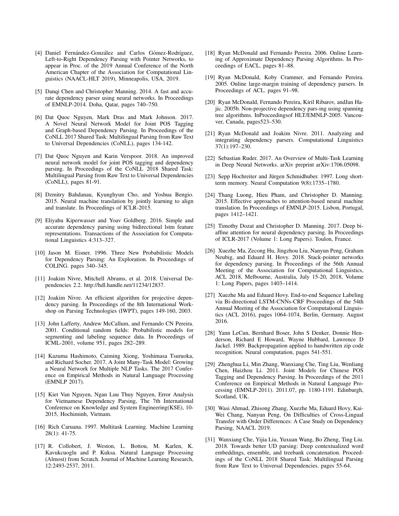- <span id="page-3-9"></span>[4] Daniel Fernández-González and Carlos Gómez-Rodríguez, Left-to-Right Dependency Parsing with Pointer Networks, to appear in Proc. of the 2019 Annual Conference of the North American Chapter of the Association for Computational Linguistics (NAACL-HLT 2019), Minneapolis, USA, 2019.
- <span id="page-3-6"></span>[5] Danqi Chen and Christopher Manning. 2014. A fast and accurate dependency parser using neural networks. In Proceedings of EMNLP-2014. Doha, Qatar, pages 740–750.
- <span id="page-3-15"></span>[6] Dat Quoc Nguyen, Mark Dras and Mark Johnson. 2017. A Novel Neural Network Model for Joint POS Tagging and Graph-based Dependency Parsing. In Proceedings of the CoNLL 2017 Shared Task: Multilingual Parsing from Raw Text to Universal Dependencies (CoNLL), pages 134-142.
- <span id="page-3-16"></span>[7] Dat Quoc Nguyen and Karin Verspoor. 2018. An improved neural network model for joint POS tagging and dependency parsing. In Proceedings of the CoNLL 2018 Shared Task: Multilingual Parsing from Raw Text to Universal Dependencies (CoNLL), pages 81-91.
- <span id="page-3-11"></span>[8] Dzmitry Bahdanau, Kyunghyun Cho, and Yoshua Bengio. 2015. Neural machine translation by jointly learning to align and translate. In Proceedings of ICLR-2015.
- <span id="page-3-7"></span>[9] Eliyahu Kiperwasser and Yoav Goldberg. 2016. Simple and accurate dependency parsing using bidirectional lstm feature representations. Transactions of the Association for Computational Linguistics 4:313–327.
- <span id="page-3-4"></span>[10] Jason M. Eisner. 1996. Three New Probabilistic Models for Dependency Parsing: An Exploration. In Proceedings of COLING. pages 340–345.
- [11] Joakim Nivre, Mitchell Abrams, et al. 2018. Universal Dependencies 2.2. http://hdl.handle.net/11234/12837.
- <span id="page-3-2"></span>[12] Joakim Nivre. An efficient algorithm for projective dependency parsing. In Proceedings of the 8th International Workshop on Parsing Technologies (IWPT), pages 149-160, 2003.
- <span id="page-3-19"></span>[13] John Lafferty, Andrew McCallum, and Fernando CN Pereira. 2001. Conditional random fields: Probabilistic models for segmenting and labeling sequence data. In Proceedings of ICML-2001, volume 951, pages 282–289.
- <span id="page-3-14"></span>[14] Kazuma Hashimoto, Caiming Xiong, Yoshimasa Tsuruoka, and Richard Socher. 2017. A Joint Many-Task Model: Growing a Neural Network for Multiple NLP Tasks. The 2017 Conference on Empirical Methods in Natural Language Processing (EMNLP 2017).
- [15] Kiet Van Nguyen, Ngan Luu Thuy Nguyen, Error Analysis for Vietnamese Dependency Parsing, The 7th International Conference on Knowledge and System Engineering(KSE), 10- 2015, Hochiminh, Vietnam.
- <span id="page-3-17"></span>[16] Rich Caruana. 1997. Multitask Learning. Machine Learning 28(1): 41-75.
- [17] R. Collobert, J. Weston, L. Bottou, M. Karlen, K. Kavukcuoglu and P. Kuksa. Natural Language Processing (Almost) from Scratch. Journal of Machine Learning Research, 12:2493-2537, 2011.
- <span id="page-3-3"></span>[18] Ryan McDonald and Fernando Pereira. 2006. Online Learning of Approximate Dependency Parsing Algorithms. In Proceedings of EACL. pages 81–88.
- <span id="page-3-5"></span>[19] Ryan McDonald, Koby Crammer, and Fernando Pereira. 2005. Online large-margin training of dependency parsers. In Proceedings of ACL. pages 91–98.
- <span id="page-3-20"></span>[20] Ryan McDonald, Fernando Pereira, Kiril Ribarov, andJan Hajic. 2005b. Non-projective dependency pars-ing using spanning tree algorithms. InProceedingsof HLT/EMNLP-2005. Vancouver, Canada, pages523–530.
- [21] Ryan McDonald and Joakim Nivre. 2011. Analyzing and integrating dependency parsers. Computational Linguistics 37(1):197–230.
- <span id="page-3-18"></span>[22] Sebastian Ruder. 2017. An Overview of Multi-Task Learning in Deep Neural Networks. arXiv preprint arXiv:1706.05098.
- <span id="page-3-10"></span>[23] Sepp Hochreiter and Jürgen Schmidhuber. 1997. Long shortterm memory. Neural Computation 9(8):1735–1780.
- <span id="page-3-12"></span>[24] Thang Luong, Hieu Pham, and Christopher D. Manning. 2015. Effective approaches to attention-based neural machine translation. In Proceedings of EMNLP-2015. Lisbon, Portugal, pages 1412–1421.
- <span id="page-3-1"></span>[25] Timothy Dozat and Christopher D. Manning. 2017. Deep biaffine attention for neural dependency parsing. In Proceedings of ICLR-2017 (Volume 1: Long Papers). Toulon, France.
- <span id="page-3-8"></span>[26] Xuezhe Ma, Zecong Hu, Jingzhou Liu, Nanyun Peng, Graham Neubig, and Eduard H. Hovy. 2018. Stack-pointer networks for dependency parsing. In Proceedings of the 56th Annual Meeting of the Association for Computational Linguistics, ACL 2018, Melbourne, Australia, July 15-20, 2018, Volume 1: Long Papers, pages 1403–1414.
- <span id="page-3-0"></span>[27] Xuezhe Ma and Eduard Hovy. End-to-end Sequence Labeling via Bi-directional LSTM-CNNs-CRF Proceedings of the 54th Annual Meeting of the Association for Computational Linguistics (ACL 2016), pages 1064-1074, Berlin, Germany. August 2016.
- [28] Yann LeCun, Bernhard Boser, John S Denker, Donnie Henderson, Richard E Howard, Wayne Hubbard, Lawrence D Jackel. 1989. Backpropagation applied to handwritten zip code recognition. Neural computation, pages 541-551.
- <span id="page-3-13"></span>[29] Zhenghua Li, Min Zhang, Wanxiang Che, Ting Liu, Wenliang Chen, Haizhou Li. 2011. Joint Models for Chinese POS Tagging and Dependency Parsing. In Proceedings of the 2011 Conference on Empirical Methods in Natural Language Processing (EMNLP-2011). 2011.07, pp. 1180-1191. Edinburgh, Scotland, UK.
- <span id="page-3-21"></span>[30] Wasi Ahmad, Zhisong Zhang, Xuezhe Ma, Eduard Hovy, Kai-Wei Chang, Nanyun Peng, On Difficulties of Cross-Lingual Transfer with Order Differences: A Case Study on Dependency Parsing, NAACL 2019.
- <span id="page-3-22"></span>[31] Wanxiang Che, Yijia Liu, Yuxuan Wang, Bo Zheng, Ting Liu. 2018. Towards better UD parsing: Deep contextualized word embeddings, ensemble, and treebank concatenation. Proceedings of the CoNLL 2018 Shared Task: Multilingual Parsing from Raw Text to Universal Dependencies. pages 55-64.